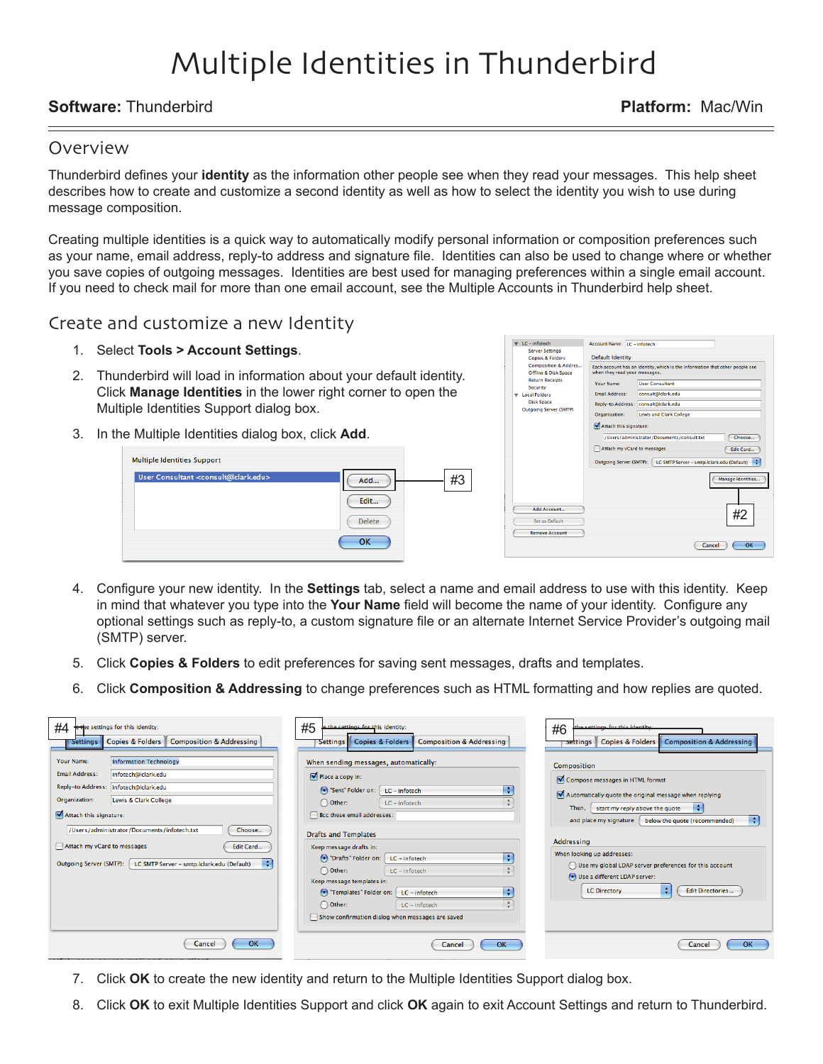# Multiple Identities in Thunderbird

## **Software:** Thunderbird **Platform:** Mac/Win

### Overview

Thunderbird defines your **identity** as the information other people see when they read your messages. This help sheet describes how to create and customize a second identity as well as how to select the identity you wish to use during message composition.

Creating multiple identities is a quick way to automatically modify personal information or composition preferences such as your name, email address, reply-to address and signature file. Identities can also be used to change where or whether you save copies of outgoing messages. Identities are best used for managing preferences within a single email account. If you need to check mail for more than one email account, see the Multiple Accounts in Thunderbird help sheet.

### Create and customize a new Identity

- 1. Select **Tools > Account Settings.**
- Thunderbird will load in information about your default identity. 2. Click **Manage Identities** in the lower right corner to open the Multiple Identities Support dialog box.
- 3. In the Multiple Identities dialog box, click Add.

| User Consultant <consult@lclark.edu></consult@lclark.edu> | #3<br>Add     |
|-----------------------------------------------------------|---------------|
|                                                           | Edit          |
|                                                           |               |
|                                                           | <b>Delete</b> |

|  | <b>Server Settings</b>                                                                        | LC - INTERNATIONAL LA - INTERNATIONAL                |                                                                              |  |
|--|-----------------------------------------------------------------------------------------------|------------------------------------------------------|------------------------------------------------------------------------------|--|
|  | <b>Copies &amp; Folders</b>                                                                   | <b>Default Identity</b>                              |                                                                              |  |
|  | <b>Composition &amp; Addres</b><br>Offline & Disk Space<br><b>Return Receipts</b><br>Security | when they read your messages.                        | Each account has an identity, which is the information that other people see |  |
|  |                                                                                               | Your Name:                                           | <b>User Consultant</b>                                                       |  |
|  | <b>Local Folders</b>                                                                          | Email Address:                                       | consult@clark.edu                                                            |  |
|  | <b>Disk Space</b><br>Outgoing Server (SMTP)                                                   | <b>Reply-to Address:</b><br>Organization:            | consult@clark.edu                                                            |  |
|  |                                                                                               |                                                      | <b>Lewis and Clark College</b>                                               |  |
|  |                                                                                               | Attach this signature:                               |                                                                              |  |
|  |                                                                                               | Choose<br>/Users/administrator/Documents/consult.txt |                                                                              |  |
|  |                                                                                               |                                                      | Attach my vCard to messages<br>Edit Card                                     |  |
|  |                                                                                               | Outgoing Server (SMTP):                              | LC SMTP Server - smtp.lclark.edu (Default)                                   |  |
|  |                                                                                               |                                                      | Manage Identities                                                            |  |
|  | Add Account                                                                                   |                                                      | #2                                                                           |  |
|  | Set as Default                                                                                |                                                      |                                                                              |  |
|  | <b>Remove Account</b>                                                                         |                                                      |                                                                              |  |
|  |                                                                                               |                                                      | Cancel<br>OK                                                                 |  |
|  |                                                                                               |                                                      |                                                                              |  |

- Configure your new identity. In the **Settings** tab, select a name and email address to use with this identity. Keep 4. in mind that whatever you type into the **Your Name** field will become the name of your identity. Configure any optional settings such as reply-to, a custom signature file or an alternate Internet Service Provider's outgoing mail (SMTP) server.
- Click **Copies & Folders** to edit preferences for saving sent messages, drafts and templates. 5.
- Click **Composition & Addressing** to change preferences such as HTML formatting and how replies are quoted. 6.

| #4                                                                                                                                                                                                                                                                                                                                                                                           | #5                                                                                                                                                                                                                                                                                                                                                                                                                                                                                                 | the settings for this identity                                                                                                                                                                                                                                                                                                                                                                                                                    |
|----------------------------------------------------------------------------------------------------------------------------------------------------------------------------------------------------------------------------------------------------------------------------------------------------------------------------------------------------------------------------------------------|----------------------------------------------------------------------------------------------------------------------------------------------------------------------------------------------------------------------------------------------------------------------------------------------------------------------------------------------------------------------------------------------------------------------------------------------------------------------------------------------------|---------------------------------------------------------------------------------------------------------------------------------------------------------------------------------------------------------------------------------------------------------------------------------------------------------------------------------------------------------------------------------------------------------------------------------------------------|
| ethe settings for this identity:                                                                                                                                                                                                                                                                                                                                                             | le the settings for this identity:                                                                                                                                                                                                                                                                                                                                                                                                                                                                 | #6                                                                                                                                                                                                                                                                                                                                                                                                                                                |
| Copies & Folders Composition & Addressing                                                                                                                                                                                                                                                                                                                                                    | Settings Copies & Folders                                                                                                                                                                                                                                                                                                                                                                                                                                                                          | Copies & Folders   Composition & Addressing                                                                                                                                                                                                                                                                                                                                                                                                       |
| Settings                                                                                                                                                                                                                                                                                                                                                                                     | <b>Composition &amp; Addressing</b>                                                                                                                                                                                                                                                                                                                                                                                                                                                                | <b>Settings</b>                                                                                                                                                                                                                                                                                                                                                                                                                                   |
| Your Name:<br><b>Information Technology</b><br><b>Email Address:</b><br>infotech@lclark.edu<br>Reply-to Address: infotech@lclark.edu<br>Organization:<br>Lewis & Clark College<br>Attach this signature:<br>/Users/administrator/Documents/infotech.txt<br>Choose<br>Attach my vCard to messages<br>Edit Card<br>I÷<br>LC SMTP Server - smtp.lclark.edu (Default)<br>Outgoing Server (SMTP): | When sending messages, automatically:<br>Place a copy in:<br>÷<br>Sent" Folder on: LC - infotech<br>O Other:<br>LC - infotech<br>Bcc these email addresses:<br><b>Drafts and Templates</b><br>Keep message drafts in:<br>÷<br>O "Drafts" Folder on:<br>LC - infotech<br>$\,$ $\,$ $\,$<br>O Other:<br>LC - infotech<br>Keep message templates in:<br>÷<br>(.) "Templates" Folder on:<br>LC - infotech<br>$\Delta$<br>O Other:<br>LC - infotech<br>Show confirmation dialog when messages are saved | Composition<br>Compose messages in HTML format<br>$\boxed{\blacktriangledown}$ Automatically quote the original message when replying<br>÷<br>start my reply above the quote<br>Then.<br>÷<br>and place my signature   below the quote (recommended)<br>Addressing<br>When looking up addresses:<br>Use my global LDAP server preferences for this account<br>Use a different LDAP server:<br>÷<br><b>Edit Directories</b><br><b>LC Directory</b> |
| OK                                                                                                                                                                                                                                                                                                                                                                                           | OK                                                                                                                                                                                                                                                                                                                                                                                                                                                                                                 | OK                                                                                                                                                                                                                                                                                                                                                                                                                                                |
| Cancel                                                                                                                                                                                                                                                                                                                                                                                       | Cancel                                                                                                                                                                                                                                                                                                                                                                                                                                                                                             | Cancel                                                                                                                                                                                                                                                                                                                                                                                                                                            |

- 7. Click OK to create the new identity and return to the Multiple Identities Support dialog box.
- Click **OK** to exit Multiple Identities Support and click **OK** again to exit Account Settings and return to Thunderbird. 8.